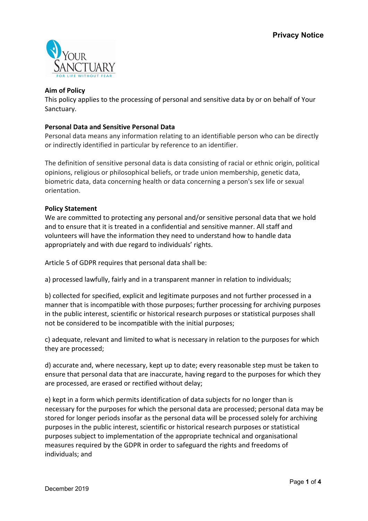

## **Aim of Policy**

This policy applies to the processing of personal and sensitive data by or on behalf of Your Sanctuary.

## **Personal Data and Sensitive Personal Data**

Personal data means any information relating to an identifiable person who can be directly or indirectly identified in particular by reference to an identifier.

The definition of sensitive personal data is data consisting of racial or ethnic origin, political opinions, religious or philosophical beliefs, or trade union membership, genetic data, biometric data, data concerning health or data concerning a person's sex life or sexual orientation.

### **Policy Statement**

We are committed to protecting any personal and/or sensitive personal data that we hold and to ensure that it is treated in a confidential and sensitive manner. All staff and volunteers will have the information they need to understand how to handle data appropriately and with due regard to individuals' rights.

Article 5 of GDPR requires that personal data shall be:

a) processed lawfully, fairly and in a transparent manner in relation to individuals;

b) collected for specified, explicit and legitimate purposes and not further processed in a manner that is incompatible with those purposes; further processing for archiving purposes in the public interest, scientific or historical research purposes or statistical purposes shall not be considered to be incompatible with the initial purposes;

c) adequate, relevant and limited to what is necessary in relation to the purposes for which they are processed;

d) accurate and, where necessary, kept up to date; every reasonable step must be taken to ensure that personal data that are inaccurate, having regard to the purposes for which they are processed, are erased or rectified without delay;

e) kept in a form which permits identification of data subjects for no longer than is necessary for the purposes for which the personal data are processed; personal data may be stored for longer periods insofar as the personal data will be processed solely for archiving purposes in the public interest, scientific or historical research purposes or statistical purposes subject to implementation of the appropriate technical and organisational measures required by the GDPR in order to safeguard the rights and freedoms of individuals; and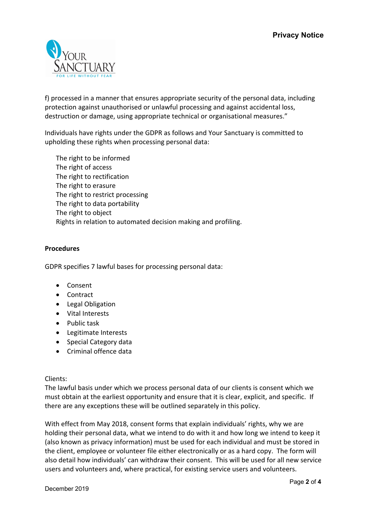

f) processed in a manner that ensures appropriate security of the personal data, including protection against unauthorised or unlawful processing and against accidental loss, destruction or damage, using appropriate technical or organisational measures."

Individuals have rights under the GDPR as follows and Your Sanctuary is committed to upholding these rights when processing personal data:

The right to be informed The right of access The right to rectification The right to erasure The right to restrict processing The right to data portability The right to object Rights in relation to automated decision making and profiling.

## **Procedures**

GDPR specifies 7 lawful bases for processing personal data:

- Consent
- Contract
- Legal Obligation
- Vital Interests
- Public task
- Legitimate Interests
- Special Category data
- Criminal offence data

Clients:

The lawful basis under which we process personal data of our clients is consent which we must obtain at the earliest opportunity and ensure that it is clear, explicit, and specific. If there are any exceptions these will be outlined separately in this policy.

With effect from May 2018, consent forms that explain individuals' rights, why we are holding their personal data, what we intend to do with it and how long we intend to keep it (also known as privacy information) must be used for each individual and must be stored in the client, employee or volunteer file either electronically or as a hard copy. The form will also detail how individuals' can withdraw their consent. This will be used for all new service users and volunteers and, where practical, for existing service users and volunteers.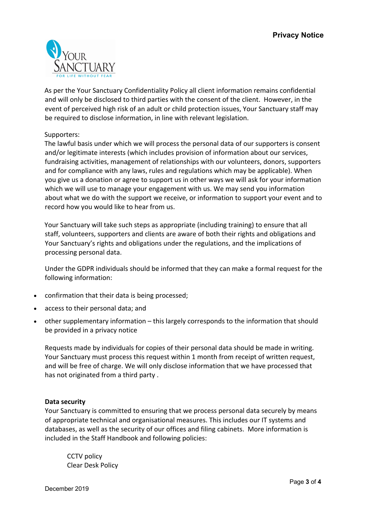

As per the Your Sanctuary Confidentiality Policy all client information remains confidential and will only be disclosed to third parties with the consent of the client. However, in the event of perceived high risk of an adult or child protection issues, Your Sanctuary staff may be required to disclose information, in line with relevant legislation.

## Supporters:

The lawful basis under which we will process the personal data of our supporters is consent and/or legitimate interests (which includes provision of information about our services, fundraising activities, management of relationships with our volunteers, donors, supporters and for compliance with any laws, rules and regulations which may be applicable). When you give us a donation or agree to support us in other ways we will ask for your information which we will use to manage your engagement with us. We may send you information about what we do with the support we receive, or information to support your event and to record how you would like to hear from us.

Your Sanctuary will take such steps as appropriate (including training) to ensure that all staff, volunteers, supporters and clients are aware of both their rights and obligations and Your Sanctuary's rights and obligations under the regulations, and the implications of processing personal data.

Under the GDPR individuals should be informed that they can make a formal request for the following information:

- confirmation that their data is being processed;
- access to their personal data; and
- other supplementary information this largely corresponds to the information that should be provided in a privacy notice

Requests made by individuals for copies of their personal data should be made in writing. Your Sanctuary must process this request within 1 month from receipt of written request, and will be free of charge. We will only disclose information that we have processed that has not originated from a third party .

### **Data security**

Your Sanctuary is committed to ensuring that we process personal data securely by means of appropriate technical and organisational measures. This includes our IT systems and databases, as well as the security of our offices and filing cabinets. More information is included in the Staff Handbook and following policies:

CCTV policy Clear Desk Policy